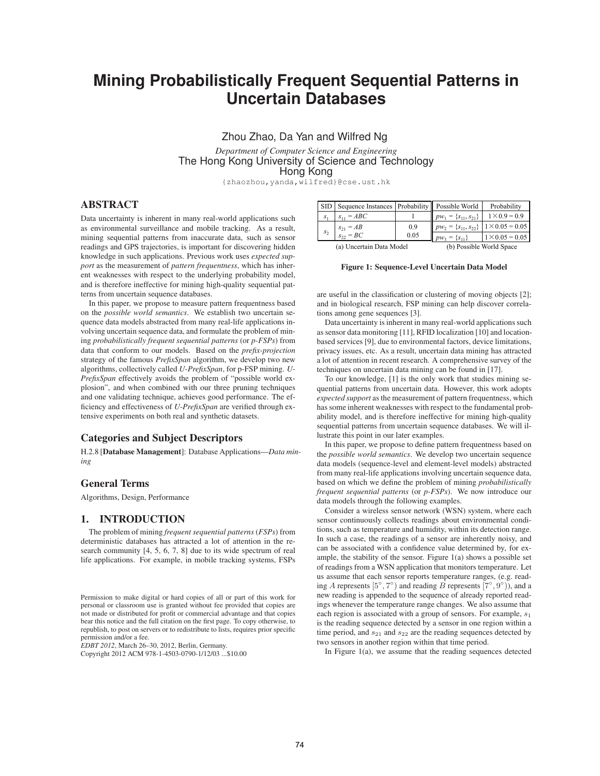# **Mining Probabilistically Frequent Sequential Patterns in Uncertain Databases**

Zhou Zhao, Da Yan and Wilfred Ng

*Department of Computer Science and Engineering* The Hong Kong University of Science and Technology Hong Kong

{zhaozhou,yanda,wilfred}@cse.ust.hk

# ABSTRACT

Data uncertainty is inherent in many real-world applications such as environmental surveillance and mobile tracking. As a result, mining sequential patterns from inaccurate data, such as sensor readings and GPS trajectories, is important for discovering hidden knowledge in such applications. Previous work uses *expected support* as the measurement of *pattern frequentness*, which has inherent weaknesses with respect to the underlying probability model, and is therefore ineffective for mining high-quality sequential patterns from uncertain sequence databases.

In this paper, we propose to measure pattern frequentness based on the *possible world semantics*. We establish two uncertain sequence data models abstracted from many real-life applications involving uncertain sequence data, and formulate the problem of mining *probabilistically frequent sequential patterns* (or *p-FSPs*) from data that conform to our models. Based on the *prefix-projection* strategy of the famous *PrefixSpan* algorithm, we develop two new algorithms, collectively called *U-PrefixSpan*, for p-FSP mining. *U-PrefixSpan* effectively avoids the problem of "possible world explosion", and when combined with our three pruning techniques and one validating technique, achieves good performance. The efficiency and effectiveness of *U-PrefixSpan* are verified through extensive experiments on both real and synthetic datasets.

# Categories and Subject Descriptors

H.2.8 [Database Management]: Database Applications—*Data mining*

# General Terms

Algorithms, Design, Performance

## 1. INTRODUCTION

The problem of mining *frequent sequential patterns* (*FSPs*) from deterministic databases has attracted a lot of attention in the research community [4, 5, 6, 7, 8] due to its wide spectrum of real life applications. For example, in mobile tracking systems, FSPs

*EDBT 2012*, March 26–30, 2012, Berlin, Germany.

Copyright 2012 ACM 978-1-4503-0790-1/12/03 ...\$10.00

| <b>SID</b>               | Sequence Instances   Probability   Possible World |      |                              | Probability            |  |
|--------------------------|---------------------------------------------------|------|------------------------------|------------------------|--|
|                          | $S_{11} = ABC$                                    |      | $pw_1 = \{s_{11}, s_{21}\}\$ | $1 \times 0.9 = 0.9$   |  |
| s <sub>2</sub>           | $s_{21} = AB$<br>$s_{22} = BC$                    | 0.9  | $pw_2 = \{s_{11}, s_{22}\}\$ | $1 \times 0.05 = 0.05$ |  |
|                          |                                                   | 0.05 | $DW_2 = \{S_{11}\}\$         | $1 \times 0.05 = 0.05$ |  |
| (a) Uncertain Data Model |                                                   |      | (b) Possible World Space     |                        |  |

Figure 1: Sequence-Level Uncertain Data Model

are useful in the classification or clustering of moving objects [2]; and in biological research, FSP mining can help discover correlations among gene sequences [3].

Data uncertainty is inherent in many real-world applications such as sensor data monitoring [11], RFID localization [10] and locationbased services [9], due to environmental factors, device limitations, privacy issues, etc. As a result, uncertain data mining has attracted a lot of attention in recent research. A comprehensive survey of the techniques on uncertain data mining can be found in [17].

To our knowledge, [1] is the only work that studies mining sequential patterns from uncertain data. However, this work adopts *expected support* as the measurement of pattern frequentness, which has some inherent weaknesses with respect to the fundamental probability model, and is therefore ineffective for mining high-quality sequential patterns from uncertain sequence databases. We will illustrate this point in our later examples.

In this paper, we propose to define pattern frequentness based on the *possible world semantics*. We develop two uncertain sequence data models (sequence-level and element-level models) abstracted from many real-life applications involving uncertain sequence data, based on which we define the problem of mining *probabilistically frequent sequential patterns* (or *p-FSPs*). We now introduce our data models through the following examples.

Consider a wireless sensor network (WSN) system, where each sensor continuously collects readings about environmental conditions, such as temperature and humidity, within its detection range. In such a case, the readings of a sensor are inherently noisy, and can be associated with a confidence value determined by, for example, the stability of the sensor. Figure 1(a) shows a possible set of readings from a WSN application that monitors temperature. Let us assume that each sensor reports temperature ranges, (e.g. reading A represents  $[5^\circ, 7^\circ)$  and reading B represents  $[7^\circ, 9^\circ)$ ), and a new reading is appended to the sequence of already reported readings whenever the temperature range changes. We also assume that each region is associated with a group of sensors. For example,  $s_1$ is the reading sequence detected by a sensor in one region within a time period, and  $s_{21}$  and  $s_{22}$  are the reading sequences detected by two sensors in another region within that time period.

In Figure  $1(a)$ , we assume that the reading sequences detected

Permission to make digital or hard copies of all or part of this work for personal or classroom use is granted without fee provided that copies are not made or distributed for profit or commercial advantage and that copies bear this notice and the full citation on the first page. To copy otherwise, to republish, to post on servers or to redistribute to lists, requires prior specific permission and/or a fee.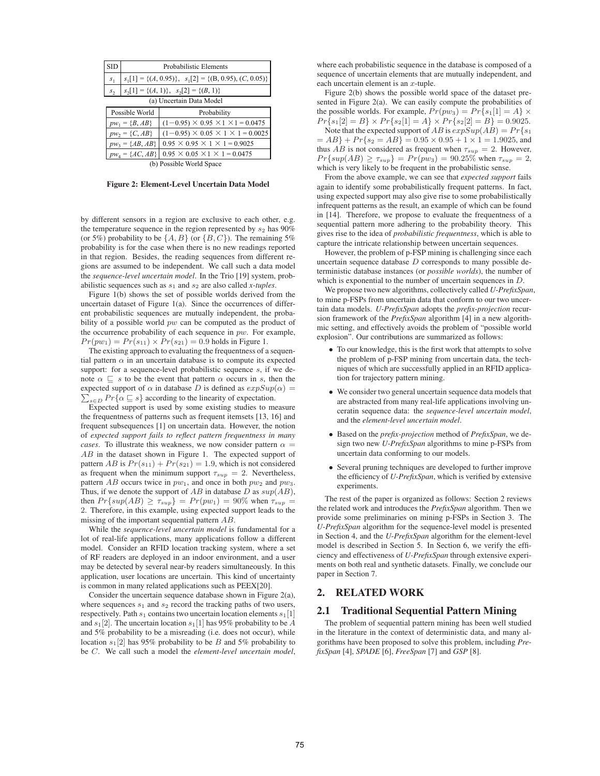| <b>SID</b>               | Probabilistic Elements                                       |                                                   |  |  |  |  |  |
|--------------------------|--------------------------------------------------------------|---------------------------------------------------|--|--|--|--|--|
| $S_1$                    | $s_1[1] = \{(A, 0.95)\}, s_1[2] = \{(B, 0.95), (C, 0.05)\}\$ |                                                   |  |  |  |  |  |
| s <sub>2</sub>           | $s_2[1] = \{(A, 1)\}, s_2[2] = \{(B, 1)\}\$                  |                                                   |  |  |  |  |  |
| (a) Uncertain Data Model |                                                              |                                                   |  |  |  |  |  |
| Possible World           |                                                              | Probability                                       |  |  |  |  |  |
| $pw_1 = {B, AB}$         |                                                              | $(1-0.95) \times 0.95 \times 1 \times 1 = 0.0475$ |  |  |  |  |  |
| $pw_2 = \{C, AB\}$       |                                                              | $(1-0.95) \times 0.05 \times 1 \times 1 = 0.0025$ |  |  |  |  |  |
| $pw_3 = \{AB, AB\}$      |                                                              | $0.95 \times 0.95 \times 1 \times 1 = 0.9025$     |  |  |  |  |  |
|                          | $pw_4 = \{AC, AB\}$                                          | $0.95 \times 0.05 \times 1 \times 1 = 0.0475$     |  |  |  |  |  |
| (b) Possible World Space |                                                              |                                                   |  |  |  |  |  |

Figure 2: Element-Level Uncertain Data Model

by different sensors in a region are exclusive to each other, e.g. the temperature sequence in the region represented by  $s_2$  has 90% (or 5%) probability to be  $\{A, B\}$  (or  $\{B, C\}$ ). The remaining 5% probability is for the case when there is no new readings reported in that region. Besides, the reading sequences from different regions are assumed to be independent. We call such a data model the *sequence-level uncertain model*. In the Trio [19] system, probabilistic sequences such as  $s_1$  and  $s_2$  are also called *x-tuples*.

Figure 1(b) shows the set of possible worlds derived from the uncertain dataset of Figure 1(a). Since the occurrences of different probabilistic sequences are mutually independent, the probability of a possible world  $pw$  can be computed as the product of the occurrence probability of each sequence in  $pw$ . For example,  $Pr(pw_1) = Pr(s_{11}) \times Pr(s_{21}) = 0.9$  holds in Figure 1.

The existing approach to evaluating the frequentness of a sequential pattern  $\alpha$  in an uncertain database is to compute its expected support: for a sequence-level probabilistic sequence s, if we denote  $\alpha \subseteq s$  to be the event that pattern  $\alpha$  occurs in s, then the expected support of  $\alpha$  in database D is defined as  $expSup(\alpha)$  =  $s \in D$   $Pr{\alpha \sqsubseteq s}$  according to the linearity of expectation.

Expected support is used by some existing studies to measure the frequentness of patterns such as frequent itemsets [13, 16] and frequent subsequences [1] on uncertain data. However, the notion of *expected support fails to reflect pattern frequentness in many cases*. To illustrate this weakness, we now consider pattern  $\alpha$  = AB in the dataset shown in Figure 1. The expected support of pattern AB is  $Pr(s_{11}) + Pr(s_{21}) = 1.9$ , which is not considered as frequent when the minimum support  $\tau_{sup} = 2$ . Nevertheless, pattern AB occurs twice in  $pw_1$ , and once in both  $pw_2$  and  $pw_3$ . Thus, if we denote the support of  $AB$  in database  $D$  as  $\sup(AB)$ , then  $Pr\{sup(AB) \geq \tau_{sup}\}$  =  $Pr(pw_1)$  = 90% when  $\tau_{sup}$  = 2. Therefore, in this example, using expected support leads to the missing of the important sequential pattern AB.

While the *sequence-level uncertain model* is fundamental for a lot of real-life applications, many applications follow a different model. Consider an RFID location tracking system, where a set of RF readers are deployed in an indoor environment, and a user may be detected by several near-by readers simultaneously. In this application, user locations are uncertain. This kind of uncertainty is common in many related applications such as PEEX[20].

Consider the uncertain sequence database shown in Figure 2(a), where sequences  $s_1$  and  $s_2$  record the tracking paths of two users, respectively. Path  $s_1$  contains two uncertain location elements  $s_1[1]$ and  $s_1[2]$ . The uncertain location  $s_1[1]$  has 95% probability to be A and 5% probability to be a misreading (i.e. does not occur), while location  $s_1[2]$  has 95% probability to be B and 5% probability to be C. We call such a model the *element-level uncertain model*,

where each probabilistic sequence in the database is composed of a sequence of uncertain elements that are mutually independent, and each uncertain element is an  $x$ -tuple.

Figure 2(b) shows the possible world space of the dataset presented in Figure 2(a). We can easily compute the probabilities of the possible worlds. For example,  $Pr(pw_3) = Pr{s_1[1] = A} \times$  $Pr\{s_1[2] = B\} \times Pr\{s_2[1] = A\} \times Pr\{s_2[2] = B\} = 0.9025.$ Note that the expected support of AB is  $expSup(AB) = Pr{s_1}$  $= AB$ } +  $Pr{s_2 = AB} = 0.95 \times 0.95 + 1 \times 1 = 1.9025$ , and thus AB is not considered as frequent when  $\tau_{sup} = 2$ . However,  $Pr\{sup(AB) \ge \tau_{sup}\} = Pr(pw_3) = 90.25\%$  when  $\tau_{sup} = 2$ , which is very likely to be frequent in the probabilistic sense.

From the above example, we can see that *expected support* fails again to identify some probabilistically frequent patterns. In fact, using expected support may also give rise to some probabilistically infrequent patterns as the result, an example of which can be found in [14]. Therefore, we propose to evaluate the frequentness of a sequential pattern more adhering to the probability theory. This gives rise to the idea of *probabilistic frequentness*, which is able to capture the intricate relationship between uncertain sequences.

However, the problem of p-FSP mining is challenging since each uncertain sequence database  $D$  corresponds to many possible deterministic database instances (or *possible worlds*), the number of which is exponential to the number of uncertain sequences in D.

We propose two new algorithms, collectively called *U-PrefixSpan*, to mine p-FSPs from uncertain data that conform to our two uncertain data models. *U-PrefixSpan* adopts the *prefix-projection* recursion framework of the *PrefixSpan* algorithm [4] in a new algorithmic setting, and effectively avoids the problem of "possible world explosion". Our contributions are summarized as follows:

- To our knowledge, this is the first work that attempts to solve the problem of p-FSP mining from uncertain data, the techniques of which are successfully applied in an RFID application for trajectory pattern mining.
- We consider two general uncertain sequence data models that are abstracted from many real-life applications involving unceratin sequence data: the *sequence-level uncertain model*, and the *element-level uncertain model*.
- Based on the *prefix-projection* method of *PrefixSpan*, we design two new *U-PrefixSpan* algorithms to mine p-FSPs from uncertain data conforming to our models.
- Several pruning techniques are developed to further improve the efficiency of *U-PrefixSpan*, which is verified by extensive experiments.

The rest of the paper is organized as follows: Section 2 reviews the related work and introduces the *PrefixSpan* algorithm. Then we provide some preliminaries on mining p-FSPs in Section 3. The *U-PrefixSpan* algorithm for the sequence-level model is presented in Section 4, and the *U-PrefixSpan* algorithm for the element-level model is described in Section 5. In Section 6, we verify the efficiency and effectiveness of *U-PrefixSpan* through extensive experiments on both real and synthetic datasets. Finally, we conclude our paper in Section 7.

# 2. RELATED WORK

## 2.1 Traditional Sequential Pattern Mining

The problem of sequential pattern mining has been well studied in the literature in the context of deterministic data, and many algorithms have been proposed to solve this problem, including *PrefixSpan* [4], *SPADE* [6], *FreeSpan* [7] and *GSP* [8].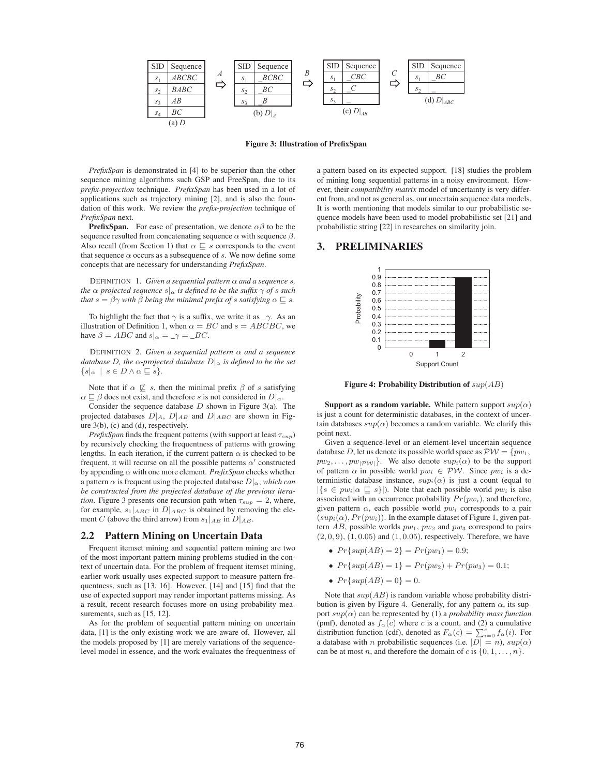

Figure 3: Illustration of PrefixSpan

*PrefixSpan* is demonstrated in [4] to be superior than the other sequence mining algorithms such GSP and FreeSpan, due to its *prefix-projection* technique. *PrefixSpan* has been used in a lot of applications such as trajectory mining [2], and is also the foundation of this work. We review the *prefix-projection* technique of *PrefixSpan* next.

**PrefixSpan.** For ease of presentation, we denote  $\alpha\beta$  to be the sequence resulted from concatenating sequence  $\alpha$  with sequence  $\beta$ . Also recall (from Section 1) that  $\alpha \sqsubseteq s$  corresponds to the event that sequence  $\alpha$  occurs as a subsequence of s. We now define some concepts that are necessary for understanding *PrefixSpan*.

DEFINITION 1. Given a sequential pattern  $\alpha$  and a sequence s, *the*  $\alpha$ -projected sequence  $s|_{\alpha}$  *is defined to be the suffix*  $\gamma$  *of s such that*  $s = \beta \gamma$  *with*  $\beta$  *being the minimal prefix of s satisfying*  $\alpha \subseteq s$ *.* 

To highlight the fact that  $\gamma$  is a suffix, we write it as  $\gamma$ . As an illustration of Definition 1, when  $\alpha = BC$  and  $s = ABCBC$ , we have  $\beta = ABC$  and  $s|_{\alpha} = \gamma = \_BC$ .

DEFINITION 2. *Given a sequential pattern* α *and a sequence database* D, the  $\alpha$ -projected database  $D|_{\alpha}$  is defined to be the set  $\{s|_{\alpha} \mid s \in D \land \alpha \sqsubseteq s\}.$ 

Note that if  $\alpha \not\sqsubseteq s$ , then the minimal prefix  $\beta$  of s satisfying  $\alpha \sqsubseteq \beta$  does not exist, and therefore s is not considered in  $D|_{\alpha}$ .

Consider the sequence database  $D$  shown in Figure 3(a). The projected databases  $D|_A$ ,  $D|_{AB}$  and  $D|_{ABC}$  are shown in Figure 3(b), (c) and (d), respectively.

*PrefixSpan* finds the frequent patterns (with support at least  $\tau_{sun}$ ) by recursively checking the frequentness of patterns with growing lengths. In each iteration, if the current pattern  $\alpha$  is checked to be frequent, it will recurse on all the possible patterns  $\alpha'$  constructed by appending α with one more element. *PrefixSpan* checks whether a pattern  $\alpha$  is frequent using the projected database  $D|_{\alpha}$ , *which can be constructed from the projected database of the previous iteration*. Figure 3 presents one recursion path when  $\tau_{sup} = 2$ , where, for example,  $s_1|_{ABC}$  in  $D|_{ABC}$  is obtained by removing the element C (above the third arrow) from  $s_1|_{AB}$  in  $D|_{AB}$ .

## 2.2 Pattern Mining on Uncertain Data

Frequent itemset mining and sequential pattern mining are two of the most important pattern mining problems studied in the context of uncertain data. For the problem of frequent itemset mining, earlier work usually uses expected support to measure pattern frequentness, such as [13, 16]. However, [14] and [15] find that the use of expected support may render important patterns missing. As a result, recent research focuses more on using probability measurements, such as [15, 12].

As for the problem of sequential pattern mining on uncertain data, [1] is the only existing work we are aware of. However, all the models proposed by [1] are merely variations of the sequencelevel model in essence, and the work evaluates the frequentness of a pattern based on its expected support. [18] studies the problem of mining long sequential patterns in a noisy environment. However, their *compatibility matrix* model of uncertainty is very different from, and not as general as, our uncertain sequence data models. It is worth mentioning that models similar to our probabilistic sequence models have been used to model probabilistic set [21] and probabilistic string [22] in researches on similarity join.

# 3. PRELIMINARIES



Figure 4: Probability Distribution of  $sup(AB)$ 

**Support as a random variable.** While pattern support  $sup(\alpha)$ is just a count for deterministic databases, in the context of uncertain databases  $sup(\alpha)$  becomes a random variable. We clarify this point next.

Given a sequence-level or an element-level uncertain sequence database D, let us denote its possible world space as  $PW = \{pw_1,$  $pw_2, \ldots, pw_{|\mathcal{PW}|}$ . We also denote  $\sup_i(\alpha)$  to be the support of pattern  $\alpha$  in possible world  $pw_i \in PW$ . Since  $pw_i$  is a deterministic database instance,  $sup_i(\alpha)$  is just a count (equal to  $|\{s \in pw_i | \alpha \sqsubseteq s\}|$ ). Note that each possible world  $pw_i$  is also associated with an occurrence probability  $Pr(p w_i)$ , and therefore, given pattern  $\alpha$ , each possible world  $pw_i$  corresponds to a pair  $(sup_i(\alpha),Pr(pw_i))$ . In the example dataset of Figure 1, given pattern  $AB$ , possible worlds  $pw_1$ ,  $pw_2$  and  $pw_3$  correspond to pairs  $(2, 0, 9)$ ,  $(1, 0.05)$  and  $(1, 0.05)$ , respectively. Therefore, we have

- $Pr{sup(AB) = 2} = Pr(pw_1) = 0.9;$
- $Pr{sup(AB) = 1} = Pr(pw_2) + Pr(pw_3) = 0.1;$
- $Pr\{sup(AB) = 0\} = 0$ .

Note that  $sup(AB)$  is random variable whose probability distribution is given by Figure 4. Generally, for any pattern  $\alpha$ , its support  $sup(\alpha)$  can be represented by (1) a *probability mass function* (pmf), denoted as  $f_\alpha(c)$  where c is a count, and (2) a cumulative (pmt), denoted as  $f_\alpha(c)$  where c is a count, and (2) a cumulative distribution function (cdf), denoted as  $F_\alpha(c) = \sum_{i=0}^c f_\alpha(i)$ . For a database with *n* probabilistic sequences (i.e.  $|D| = n$ ),  $sup(\alpha)$ can be at most *n*, and therefore the domain of *c* is  $\{0, 1, \ldots, n\}$ .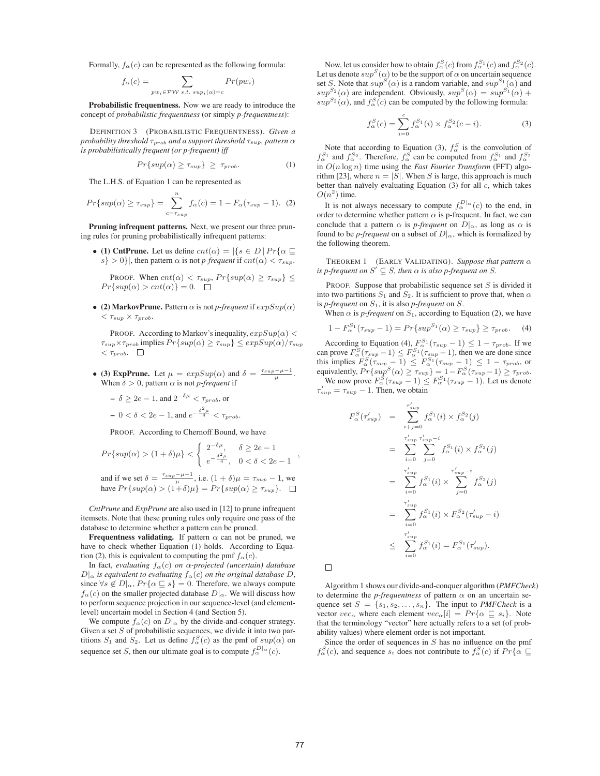Formally,  $f_\alpha(c)$  can be represented as the following formula:

$$
f_{\alpha}(c) = \sum_{pw_i \in \mathcal{PW}\ s.t. \ sup_i(\alpha) = c} Pr(pw_i)
$$

Probabilistic frequentness. Now we are ready to introduce the concept of *probabilistic frequentness* (or simply *p-frequentness*):

DEFINITION 3 (PROBABILISTIC FREQUENTNESS). *Given a probability threshold*  $\tau_{prob}$  *and a support threshold*  $\tau_{sup}$ *, pattern*  $\alpha$ *is probabilistically frequent (or p-frequent) iff*

$$
Pr\{sup(\alpha) \ge \tau_{sup}\} \ge \tau_{prob}.
$$
 (1)

The L.H.S. of Equation 1 can be represented as

$$
Pr{sup(\alpha) \ge \tau_{sup}} = \sum_{c=\tau_{sup}}^{n} f_{\alpha}(c) = 1 - F_{\alpha}(\tau_{sup} - 1). \tag{2}
$$

Pruning infrequent patterns. Next, we present our three pruning rules for pruning probabilistically infrequent patterns:

• (1) CntPrune. Let us define  $cnt(\alpha) = |\{s \in D \mid Pr\{\alpha \sqsubseteq \}$  $s \geq 0$ , then pattern  $\alpha$  is not *p-frequent* if  $cnt(\alpha) < \tau_{sup}$ .

PROOF. When  $cnt(\alpha) < \tau_{sup}$ ,  $Pr\{sup(\alpha) \geq \tau_{sup}\}$  $Pr\{sup(\alpha) > cnt(\alpha)\} = 0.$ 

• (2) MarkovPrune. Pattern  $\alpha$  is not *p-frequent* if  $expSup(\alpha)$  $< \tau_{sup} \times \tau_{prob}$ .

PROOF. According to Markov's inequality,  $expSup(\alpha)$  <  $\tau_{sup} \times \tau_{prob}$  implies  $Pr\{ sup(\alpha) \geq \tau_{sup} \} \leq expSup(\alpha) / \tau_{sup}$  $< \tau_{prob}. \quad \Box$ 

• (3) ExpPrune. Let  $\mu = expSup(\alpha)$  and  $\delta = \frac{\tau_{sup} - \mu - 1}{\mu}$ . When  $\delta > 0$ , pattern  $\alpha$  is not *p-frequent* if

$$
- \delta \ge 2e - 1, \text{ and } 2^{-\delta \mu} < \tau_{prob}, \text{ or}
$$

$$
- 0 < \delta < 2e - 1, \text{ and } e^{-\frac{\delta^2 \mu}{4}} < \tau_{prob}.
$$

PROOF. According to Chernoff Bound, we have

$$
Pr\{sup(\alpha) > (1+\delta)\mu\} < \begin{cases} 2^{-\delta\mu}, & \delta \ge 2e-1 \\ e^{-\frac{\delta^2\mu}{4}}, & 0 < \delta < 2e-1 \end{cases}
$$
  
and if we set  $\delta = \frac{\tau_{sup} - \mu - 1}{\mu}$ , i.e.  $(1+\delta)\mu = \tau_{sup} - 1$ , we

have 
$$
Pr\{sup(\alpha) > (1+\delta)\mu\} = Pr\{sup(\alpha) \ge \tau_{sup}\}.
$$
  $\square$ 

*CntPrune* and *ExpPrune* are also used in [12] to prune infrequent itemsets. Note that these pruning rules only require one pass of the database to determine whether a pattern can be pruned.

Frequentness validating. If pattern  $\alpha$  can not be pruned, we have to check whether Equation (1) holds. According to Equation (2), this is equivalent to computing the pmf  $f_\alpha(c)$ .

In fact, *evaluating*  $f_\alpha(c)$  *on*  $\alpha$ -projected (uncertain) database  $D|_{\alpha}$  *is equivalent to evaluating*  $f_{\alpha}(c)$  *on the original database*  $D$ , since  $\forall s \notin D |_{\alpha}$ ,  $Pr\{\alpha \sqsubseteq s\} = 0$ . Therefore, we always compute  $f_\alpha(c)$  on the smaller projected database  $D|_\alpha$ . We will discuss how to perform sequence projection in our sequence-level (and elementlevel) uncertain model in Section 4 (and Section 5).

We compute  $f_\alpha(c)$  on  $D|_\alpha$  by the divide-and-conquer strategy. Given a set  $S$  of probabilistic sequences, we divide it into two partitions  $S_1$  and  $S_2$ . Let us define  $f_\alpha^S(c)$  as the pmf of  $sup(\alpha)$  on sequence set S, then our ultimate goal is to compute  $f_{\alpha}^{D|\alpha}(c)$ .

Now, let us consider how to obtain  $f_\alpha^S(c)$  from  $f_\alpha^{S_1}(c)$  and  $f_\alpha^{S_2}(c)$ . Let us denote  $sup^S(\alpha)$  to be the support of  $\alpha$  on uncertain sequence set S. Note that  $sup^S(\alpha)$  is a random variable, and  $sup^{S_1}(\alpha)$  and  $sup^{S_2}(\alpha)$  are independent. Obviously,  $sup^S(\alpha) = sup^{S_1}(\alpha) +$  $sup^{S_2}(\alpha)$ , and  $f^S_\alpha(c)$  can be computed by the following formula:

$$
f_{\alpha}^{S}(c) = \sum_{i=0}^{c} f_{\alpha}^{S_{1}}(i) \times f_{\alpha}^{S_{2}}(c - i).
$$
 (3)

Note that according to Equation (3),  $f_\alpha^S$  is the convolution of  $f_\alpha^{S_1}$  and  $f_\alpha^{S_2}$ . Therefore,  $f_\alpha^S$  can be computed from  $f_\alpha^{S_1}$  and  $f_\alpha^{S_2}$ in O(n log n) time using the *Fast Fourier Transform* (FFT) algorithm [23], where  $n = |S|$ . When S is large, this approach is much better than naïvely evaluating Equation  $(3)$  for all  $c$ , which takes  $O(n^2)$  time.

It is not always necessary to compute  $f_{\alpha}^{D|\alpha}(c)$  to the end, in order to determine whether pattern  $\alpha$  is p-frequent. In fact, we can conclude that a pattern  $\alpha$  is *p-frequent* on  $D|_{\alpha}$ , as long as  $\alpha$  is found to be *p-frequent* on a subset of  $D|_{\alpha}$ , which is formalized by the following theorem.

THEOREM 1 (EARLY VALIDATING). *Suppose that pattern* α *is p-frequent on*  $S' \subseteq S$ *, then*  $\alpha$  *is also p-frequent on* S.

PROOF. Suppose that probabilistic sequence set  $S$  is divided it into two partitions  $S_1$  and  $S_2$ . It is sufficient to prove that, when  $\alpha$ is *p-frequent* on  $S_1$ , it is also *p-frequent* on  $S$ .

When  $\alpha$  is *p-frequent* on  $S_1$ , according to Equation (2), we have

$$
1 - F_{\alpha}^{S_1}(\tau_{sup} - 1) = Pr\{ \sup^{S_1}(\alpha) \ge \tau_{sup} \} \ge \tau_{prob}. \tag{4}
$$

According to Equation (4),  $F_{\alpha}^{S_1}(\tau_{sup} - 1) \leq 1 - \tau_{prob}$ . If we can prove  $F_{\alpha}^{S}(\tau_{sup} - 1) \le F_{\alpha}^{S_1}(\tau_{sup} - 1)$ , then we are done since this implies  $F_{\alpha}^{S}(\tau_{sup} - 1) \leq F_{\alpha}^{S_1}(\tau_{sup} - 1) \leq 1 - \tau_{prob}$ , or equivalently,  $Pr\{ sup^S(\alpha) \geq \tau_{sup} \} = 1 - F_{\alpha}^S(\tau_{sup} - 1) \geq \tau_{prob}$ . We now prove  $F_{\alpha}^{S}(\tau_{sup} - 1) \leq F_{\alpha}^{S_1}(\tau_{sup} - 1)$ . Let us denote  $\tau_{sup}^{\prime} = \tau_{sup} - 1$ . Then, we obtain

$$
F_{\alpha}^{S}(\tau'_{sup}) = \sum_{i+j=0}^{\tau'_{sup}} f_{\alpha}^{S_1}(i) \times f_{\alpha}^{S_2}(j)
$$
  
\n
$$
= \sum_{i=0}^{\tau'_{sup}} \sum_{j=0}^{r'_{sup}-i} f_{\alpha}^{S_1}(i) \times f_{\alpha}^{S_2}(j)
$$
  
\n
$$
= \sum_{i=0}^{\tau'_{sup}} f_{\alpha}^{S_1}(i) \times \sum_{j=0}^{\tau'_{sup}-i} f_{\alpha}^{S_2}(j)
$$
  
\n
$$
= \sum_{i=0}^{\tau'_{sup}} f_{\alpha}^{S_1}(i) \times F_{\alpha}^{S_2}(\tau'_{sup}-i)
$$
  
\n
$$
\leq \sum_{i=0}^{\tau'_{sup}} f_{\alpha}^{S_1}(i) = F_{\alpha}^{S_1}(\tau'_{sup}).
$$

 $\Box$ 

Algorithm 1 shows our divide-and-conquer algorithm (*PMFCheck*) to determine the *p-frequentness* of pattern  $\alpha$  on an uncertain sequence set  $S = \{s_1, s_2, \ldots, s_n\}$ . The input to *PMFCheck* is a vector  $vec_{\alpha}$  where each element  $vec_{\alpha}[i] = Pr\{\alpha \subseteq s_i\}$ . Note that the terminology "vector" here actually refers to a set (of probability values) where element order is not important.

Since the order of sequences in  $S$  has no influence on the pmf  $f^S_\alpha(c)$ , and sequence  $s_i$  does not contribute to  $f^S_\alpha(c)$  if  $Pr\{\alpha \subseteq$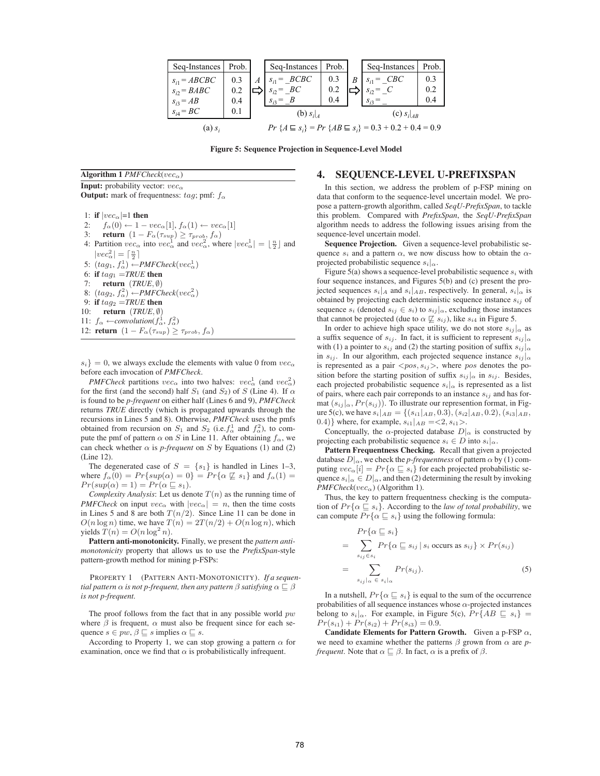| Seq-Instances        | Prob. |                                                                              | Seq-Instances                                | Prob. |  | Seq-Instances                                          | Prob. |  |
|----------------------|-------|------------------------------------------------------------------------------|----------------------------------------------|-------|--|--------------------------------------------------------|-------|--|
| $s_{i1} = ABCBC$     | 0.3   |                                                                              | $S_{i1} = \_B C B C$                         | 0.3   |  |                                                        | 0.3   |  |
| $s_{i2} = BABC$      | 0.2   |                                                                              | $\begin{bmatrix} S_{i2} = B C \end{bmatrix}$ | 0.2   |  | $s_{i1} = \underline{C}BC$<br>$s_{i2} = \underline{C}$ | 0.2   |  |
| $s_{i3} = AB$        | 0.4   |                                                                              | $S_{i3} = B$                                 | 0.4   |  | $S_{i3} =$                                             | 0.4   |  |
| $S_{i4} = BC$<br>0.1 |       |                                                                              | (b) $s_i _A$                                 |       |  | $(c)$ $s_i _{AB}$                                      |       |  |
| $(a) s_i$            |       | $Pr\{A \sqsubseteq s_i\} = Pr\{AB \sqsubseteq s_i\} = 0.3 + 0.2 + 0.4 = 0.9$ |                                              |       |  |                                                        |       |  |

Figure 5: Sequence Projection in Sequence-Level Model

 $Algorithm 1 PMFCheck(vec<sub>\alpha</sub>)$ **Input:** probability vector:  $vec_{\alpha}$ **Output:** mark of frequentness: tag; pmf:  $f_{\alpha}$ 

1: if  $|vec_{\alpha}|=1$  then<br>2:  $f_{\alpha}(0) \leftarrow 1$  $f_{\alpha}(0) \leftarrow 1 - vec_{\alpha}[1], f_{\alpha}(1) \leftarrow vec_{\alpha}[1]$ 3: **return**  $(1 - F_{\alpha}(\tau_{sup}) \ge \tau_{prob}, f_{\alpha})$ 4: Partition  $vec_{\alpha}$  into  $vec_{\alpha}$  and  $vec_{\alpha}$ , where  $|vec_{\alpha}| = \lfloor \frac{n}{2} \rfloor$  and  $|vec_{\alpha}^2| = \lceil \frac{n}{2} \rceil$ 5:  $(tag_1, f_\alpha^1) \leftarrow PMFCheck(vec_\alpha^1)$ 6: if  $tag_1 = TRUE$  then 7: return (*TRUE*, ∅) 8:  $(tag_2, f_\alpha^2) \leftarrow PMFCheck(vec_\alpha^2)$ 9: if  $tag_2 = TRUE$  then 10: **return** (*TRUE*,  $\emptyset$ )

11:  $f_{\alpha} \leftarrow convolution(f_{\alpha}^1, f_{\alpha}^2)$ 12: **return**  $(1 - F_{\alpha}(\tau_{sup}) \geq \tau_{prob}, f_{\alpha})$ 

 $s_i$ } = 0, we always exclude the elements with value 0 from  $vec_{\alpha}$ before each invocation of *PMFCheck*.

*PMFCheck* partitions  $vec_{\alpha}$  into two halves:  $vec_{\alpha}$  (and  $vec_{\alpha}^2$ ) for the first (and the second) half  $S_1$  (and  $S_2$ ) of S (Line 4). If  $\alpha$ is found to be *p-frequent* on either half (Lines 6 and 9), *PMFCheck* returns *TRUE* directly (which is propagated upwards through the recursions in Lines 5 and 8). Otherwise, *PMFCheck* uses the pmfs obtained from recursion on  $S_1$  and  $S_2$  (i.e.  $f^1_\alpha$  and  $f^2_\alpha$ ), to compute the pmf of pattern  $\alpha$  on S in Line 11. After obtaining  $f_{\alpha}$ , we can check whether  $\alpha$  is *p-frequent* on S by Equations (1) and (2) (Line 12).

The degenerated case of  $S = \{s_1\}$  is handled in Lines 1-3, where  $f_{\alpha}(0) = Pr\{ sup(\alpha) = 0 \} = Pr\{\alpha \not\subseteq s_1 \}$  and  $f_{\alpha}(1) =$  $Pr(sup(\alpha) = 1) = Pr(\alpha \sqsubseteq s_1).$ 

*Complexity Analysis*: Let us denote  $T(n)$  as the running time of *PMFCheck* on input  $vec_{\alpha}$  with  $|vec_{\alpha}| = n$ , then the time costs in Lines 5 and 8 are both  $T(n/2)$ . Since Line 11 can be done in  $O(n \log n)$  time, we have  $T(n)=2T(n/2) + O(n \log n)$ , which yields  $T(n) = O(n \log^2 n)$ .

Pattern anti-monotonicity. Finally, we present the *pattern antimonotonicity* property that allows us to use the *PrefixSpan*-style pattern-growth method for mining p-FSPs:

PROPERTY 1 (PATTERN ANTI-MONOTONICITY). *If a sequen*tial pattern  $\alpha$  is not p-frequent, then any pattern  $\beta$  satisfying  $\alpha \sqsubseteq \beta$ *is not p-frequent.*

The proof follows from the fact that in any possible world  $pw$ where  $\beta$  is frequent,  $\alpha$  must also be frequent since for each sequence  $s \in pw$ ,  $\beta \sqsubseteq s$  implies  $\alpha \sqsubseteq s$ .

According to Property 1, we can stop growing a pattern  $\alpha$  for examination, once we find that  $\alpha$  is probabilistically infrequent.

## 4. SEQUENCE-LEVEL U-PREFIXSPAN

In this section, we address the problem of p-FSP mining on data that conform to the sequence-level uncertain model. We propose a pattern-growth algorithm, called *SeqU-PrefixSpan*, to tackle this problem. Compared with *PrefixSpan*, the *SeqU-PrefixSpan* algorithm needs to address the following issues arising from the sequence-level uncertain model.

Sequence Projection. Given a sequence-level probabilistic sequence  $s_i$  and a pattern  $\alpha$ , we now discuss how to obtain the  $\alpha$ projected probabilistic sequence  $s_i|_{\alpha}$ .

Figure 5(a) shows a sequence-level probabilistic sequence  $s_i$  with four sequence instances, and Figures 5(b) and (c) present the projected sequences  $s_i|_A$  and  $s_i|_{AB}$ , respectively. In general,  $s_i|_{\alpha}$  is obtained by projecting each deterministic sequence instance  $s_{ij}$  of sequence  $s_i$  (denoted  $s_{ij} \in s_i$ ) to  $s_{ij}|_{\alpha}$ , excluding those instances that cannot be projected (due to  $\alpha \not\sqsubseteq s_{ij}$ ), like  $s_{i4}$  in Figure 5.

In order to achieve high space utility, we do not store  $s_{ij}|_{\alpha}$  as a suffix sequence of  $s_{ij}$ . In fact, it is sufficient to represent  $s_{ij}|_{\alpha}$ with (1) a pointer to  $s_{ij}$  and (2) the starting position of suffix  $s_{ij}|_{\alpha}$ in  $s_{ij}$ . In our algorithm, each projected sequence instance  $s_{ij}|_{\alpha}$ is represented as a pair  $\langle pos, s_{ij} \rangle$ , where pos denotes the position before the starting position of suffix  $s_{ij} | \alpha$  in  $s_{ij}$ . Besides, each projected probabilistic sequence  $s_i|_{\alpha}$  is represented as a list of pairs, where each pair correponds to an instance  $s_{ij}$  and has format  $(s_{ij} |_{\alpha}, Pr(s_{ij}))$ . To illustrate our represention format, in Figure 5(c), we have  $s_i|_{AB} = \{(s_{i1}|_{AB}, 0.3), (s_{i2}|_{AB}, 0.2), (s_{i3}|_{AB},$ 0.4)} where, for example,  $s_{i1}|_{AB} = <2, s_{i1}>$ .

Conceptually, the  $\alpha$ -projected database  $D|_{\alpha}$  is constructed by projecting each probabilistic sequence  $s_i \in D$  into  $s_i |_{\alpha}$ .

Pattern Frequentness Checking. Recall that given a projected database  $D|_{\alpha}$ , we check the *p-frequentness* of pattern  $\alpha$  by (1) computing  $vec_{\alpha}[i] = Pr\{\alpha \sqsubseteq s_i\}$  for each projected probabilistic sequence  $s_i|_{\alpha} \in D|_{\alpha}$ , and then (2) determining the result by invoking *PMFCheck*( $vec_{\alpha}$ ) (Algorithm 1).

Thus, the key to pattern frequentness checking is the computation of  $Pr{\alpha \subseteq s_i}$ . According to the *law of total probability*, we can compute  $Pr{\alpha \subseteq s_i}$  using the following formula:

$$
Pr{\alpha \subseteq s_i}
$$
  
= 
$$
\sum_{s_{ij} \in s_i} Pr{\alpha \subseteq s_{ij} | s_i \text{ occurs as } s_{ij} \} \times Pr(s_{ij})
$$
  
= 
$$
\sum_{s_{ij} \mid \alpha \in s_i \mid \alpha} Pr(s_{ij}).
$$
 (5)

In a nutshell,  $Pr{\alpha \subseteq s_i}$  is equal to the sum of the occurrence probabilities of all sequence instances whose  $\alpha$ -projected instances belong to  $s_i|_{\alpha}$ . For example, in Figure 5(c),  $Pr\{AB \subseteq s_i\}$  =  $Pr(s_{i1}) + Pr(s_{i2}) + Pr(s_{i3}) = 0.9.$ 

Candidate Elements for Pattern Growth. Given a p-FSP  $\alpha$ , we need to examine whether the patterns  $\beta$  grown from  $\alpha$  are  $p$ *frequent*. Note that  $\alpha \sqsubseteq \beta$ . In fact,  $\alpha$  is a prefix of  $\beta$ .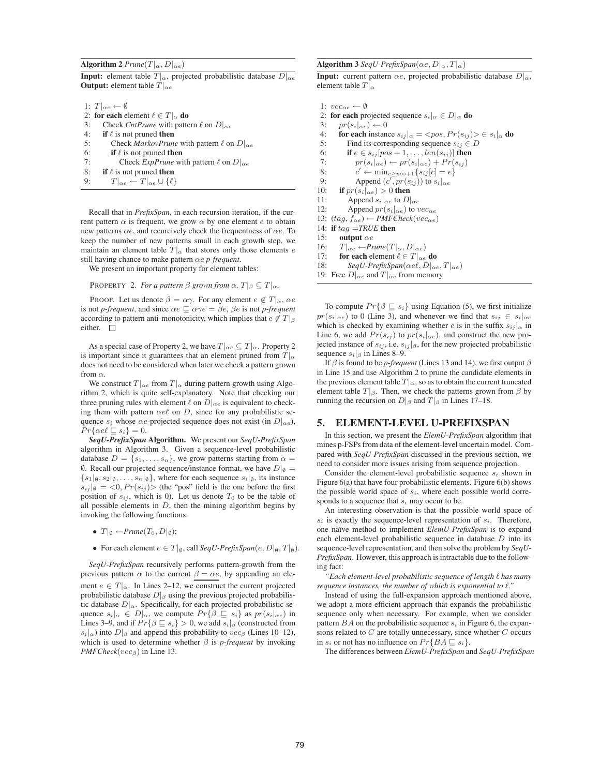Algorithm 2  $Prune(T|_{\alpha}, D|_{\alpha e})$ 

**Input:** element table  $T|_{\alpha}$ , projected probabilistic database  $D|_{\alpha}$ e **Output:** element table  $T|_{\alpha e}$ 

1:  $T|_{\alpha e} \leftarrow \emptyset$ 2: for each element  $\ell \in T|_{\alpha}$  do<br>3: Check *CntPrune* with patte Check *CntPrune* with pattern  $\ell$  on  $D|_{\alpha}$ e 4: if  $\ell$  is not pruned then 5: Check *MarkovPrune* with pattern  $\ell$  on  $D|_{\alpha\epsilon}$ 6: if  $\ell$  is not pruned then 7: Check *ExpPrune* with pattern  $\ell$  on  $D|_{\alpha e}$ 8: if  $\ell$  is not pruned then 9:  $T|_{\alpha e} \leftarrow T|_{\alpha e} \cup \{\ell\}$ 

Recall that in *PrefixSpan*, in each recursion iteration, if the current pattern  $\alpha$  is frequent, we grow  $\alpha$  by one element e to obtain new patterns  $\alpha e$ , and recurcively check the frequentness of  $\alpha e$ . To keep the number of new patterns small in each growth step, we maintain an element table  $T|_{\alpha}$  that stores only those elements e still having chance to make pattern αe *p-frequent*.

We present an important property for element tables:

## **PROPERTY** 2. *For a pattern*  $\beta$  *grown from*  $\alpha$ *,*  $T|_{\beta} \subseteq T|_{\alpha}$ *.*

PROOF. Let us denote  $\beta = \alpha \gamma$ . For any element  $e \notin T|_{\alpha}$ ,  $\alpha e$ is not *p-frequent*, and since  $\alpha e \sqsubseteq \alpha \gamma e = \beta e$ ,  $\beta e$  is not *p-frequent* according to pattern anti-monotonicity, which implies that  $e \notin T|_{\beta}$ either.  $\square$ 

As a special case of Property 2, we have  $T|_{\alpha e} \subseteq T|_{\alpha}$ . Property 2 is important since it guarantees that an element pruned from  $T|_{\alpha}$ does not need to be considered when later we check a pattern grown from  $\alpha$ .

We construct  $T|_{\alpha e}$  from  $T|_{\alpha}$  during pattern growth using Algorithm 2, which is quite self-explanatory. Note that checking our three pruning rules with element  $\ell$  on  $D|_{\alpha e}$  is equivalent to checking them with pattern  $\alpha e \ell$  on D, since for any probabilistic sequence  $s_i$  whose  $\alpha e$ -projected sequence does not exist (in  $D|_{\alpha e}$ ),  $Pr\{\alpha e \in s_i\} = 0.$ 

*SeqU-PrefixSpan* Algorithm. We present our *SeqU-PrefixSpan* algorithm in Algorithm 3. Given a sequence-level probabilistic database  $D = \{s_1, \ldots, s_n\}$ , we grow patterns starting from  $\alpha =$ θ. Recall our projected sequence/instance format, we have  $D|$ <sub>θ</sub> =  ${s_1|_{\emptyset, s_2|_{\emptyset, \ldots, s_n|\emptyset}}$ , where for each sequence  $s_i|_{\emptyset}$ , its instance  $s_{ij} |_{\emptyset} = \langle 0, Pr(s_{ij}) \rangle$  (the "pos" field is the one before the first position of  $s_{ij}$ , which is 0). Let us denote  $T_0$  to be the table of all possible elements in  $D$ , then the mining algorithm begins by invoking the following functions:

- $T|_{\emptyset} \leftarrow Prune(T_0, D|_{\emptyset});$
- For each element  $e \in T|_{\emptyset}$ , call  $SeqU\text{-}PrefixSpan(e, D|_{\emptyset}, T|_{\emptyset})$ .

*SeqU-PrefixSpan* recursively performs pattern-growth from the previous pattern  $\alpha$  to the current  $\beta = \alpha e$ , by appending an element  $e \in T|_{\alpha}$ . In Lines 2–12, we construct the current projected probabilistic database  $D|_\beta$  using the previous projected probabilistic database  $D|_{\alpha}$ . Specifically, for each projected probabilistic sequence  $s_i|_{\alpha} \in D|_{\alpha}$ , we compute  $Pr{\beta \subseteq s_i}$  as  $pr(s_i|_{\alpha e})$  in Lines 3–9, and if  $Pr{\{\beta \sqsubseteq s_i\}} > 0$ , we add  $s_i|_{\beta}$  (constructed from  $s_i|_{\alpha}$ ) into  $D|_{\beta}$  and append this probability to  $vec_{\beta}$  (Lines 10–12), which is used to determine whether  $\beta$  is *p-frequent* by invoking  $PMFCheck(vec<sub>β</sub>)$  in Line 13.

Algorithm 3 *SeqU-PrefixSpan*( $\alpha e$ ,  $D|_{\alpha}$ ,  $T|_{\alpha}$ )

**Input:** current pattern  $\alpha e$ , projected probabilistic database  $D|_{\alpha}$ , element table  $T|_{\alpha}$ 

```
1: vec_{\alpha e} \leftarrow \emptyset2: for each projected sequence s_i|_{\alpha} \in D|_{\alpha} do
 3: pr(s_i|_{\alpha e}) \leftarrow 04: for each instance s_{ij}|_{\alpha} = \langle pos, Pr(s_{ij}) \rangle \in s_i|_{\alpha} do
 5: Find its corresponding sequence s_{ij} \in D6: if e \in s_{ij} [pos + 1, \ldots, len(s_{ij})] then
 7: pr(s_i|_{\alpha e}) \leftarrow pr(s_i|_{\alpha e}) + Pr(s_{ij})<br>8: c' \leftarrow min \geq \text{max} \cup \{ s_{ij}[c] = e \}8: c' \leftarrow \min_{c \ge pos+1} \{ s_{ij} [c] = e \}<br>9. Append (c', m'(s)) to s_i|_{\infty}9: Append (c', pr(s_{ij})) to s_i|_{\alpha e}10: if pr(s_i|_{\alpha e}) > 0 then
11: Append s_i|_{\alpha e} to D|_{\alpha e}12: Append pr(s_i|_{\alpha e}) to vec_{\alpha e}13: (tag, f_{\alpha e}) \leftarrow PMFCheck(vec_{\alpha e})14: if tag =TRUE then
15: output \alpha e16: T|_{\alpha e} \leftarrow Prune(T|_{\alpha}, D|_{\alpha e})17: for each element \ell \in T|_{\alpha e} do
18: SeqU-PrefixSpan(\alphael, D|_{\alpha e}, T|_{\alpha e})
19: Free D|_{\alpha e} and T|_{\alpha e} from memory
```
To compute  $Pr{\{\beta \sqsubseteq s_i\}}$  using Equation (5), we first initialize  $pr(s_i|_{\alpha e})$  to 0 (Line 3), and whenever we find that  $s_{ij} \in s_i|_{\alpha e}$ which is checked by examining whether e is in the suffix  $s_{ij}|_{\alpha}$  in Line 6, we add  $Pr(s_{ij})$  to  $pr(s_i|\alpha e)$ , and construct the new projected instance of  $s_{ij}$ , i.e.  $s_{ij} |_{\beta}$ , for the new projected probabilistic sequence  $s_i|_\beta$  in Lines 8–9.

If  $\beta$  is found to be *p-frequent* (Lines 13 and 14), we first output  $\beta$ in Line 15 and use Algorithm 2 to prune the candidate elements in the previous element table  $T|_{\alpha}$ , so as to obtain the current truncated element table  $T|_{\beta}$ . Then, we check the patterns grown from  $\beta$  by running the recursion on  $D|_\beta$  and  $T|_\beta$  in Lines 17–18.

#### 5. ELEMENT-LEVEL U-PREFIXSPAN

In this section, we present the *ElemU-PrefixSpan* algorithm that mines p-FSPs from data of the element-level uncertain model. Compared with *SeqU-PrefixSpan* discussed in the previous section, we need to consider more issues arising from sequence projection.

Consider the element-level probabilistic sequence  $s_i$  shown in Figure 6(a) that have four probabilistic elements. Figure 6(b) shows the possible world space of  $s_i$ , where each possible world corresponds to a sequence that  $s_i$  may occur to be.

An interesting observation is that the possible world space of  $s_i$  is exactly the sequence-level representation of  $s_i$ . Therefore, one naïve method to implement *ElemU-PrefixSpan* is to expand each element-level probabilistic sequence in database D into its sequence-level representation, and then solve the problem by *SeqU-PrefixSpan*. However, this approach is intractable due to the following fact:

*"Each element-level probabilistic sequence of length has many sequence instances, the number of which is exponential to ."*

Instead of using the full-expansion approach mentioned above, we adopt a more efficient approach that expands the probabilistic sequence only when necessary. For example, when we consider pattern  $BA$  on the probabilistic sequence  $s_i$  in Figure 6, the expansions related to C are totally unnecessary, since whether C occurs in  $s_i$  or not has no influence on  $Pr{BA \sqsubseteq s_i}$ .

The differences between *ElemU-PrefixSpan* and *SeqU-PrefixSpan*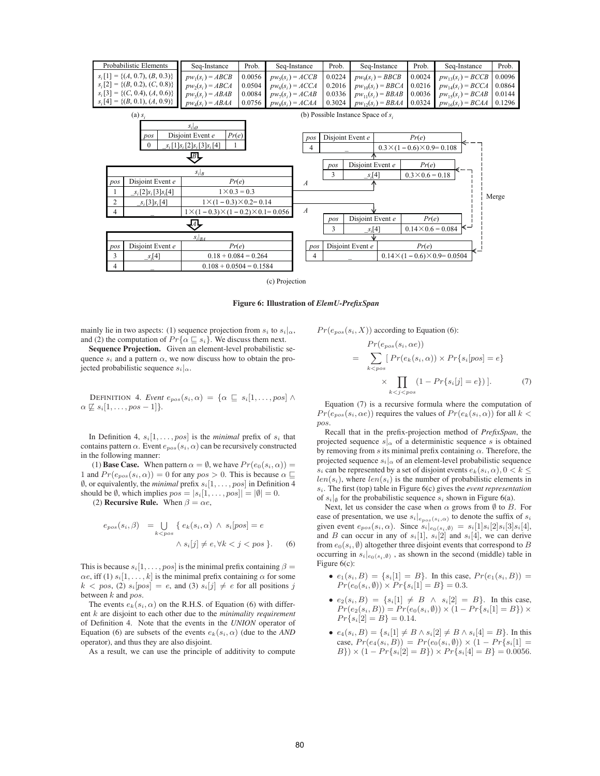

(c) Projection

#### Figure 6: Illustration of *ElemU-PrefixSpan*

mainly lie in two aspects: (1) sequence projection from  $s_i$  to  $s_i|_{\alpha}$ , and (2) the computation of  $Pr{\alpha \subseteq s_i}$ . We discuss them next.

Sequence Projection. Given an element-level probabilistic sequence  $s_i$  and a pattern  $\alpha$ , we now discuss how to obtain the projected probabilistic sequence  $s_i|_{\alpha}$ .

DEFINITION 4. *Event* 
$$
e_{pos}(s_i, \alpha) = {\alpha \sqsubseteq s_i[1, ..., pos] \land \alpha \sqsubseteq s_i[1, ..., pos - 1]}.
$$

In Definition 4,  $s_i[1, \ldots, pos]$  is the *minimal* prefix of  $s_i$  that contains pattern  $\alpha$ . Event  $e_{pos}(s_i, \alpha)$  can be recursively constructed in the following manner:

(1) **Base Case.** When pattern  $\alpha = \emptyset$ , we have  $Pr(e_0(s_i, \alpha))$  = 1 and  $Pr(e_{pos}(s_i, \alpha)) = 0$  for any  $pos > 0$ . This is because  $\alpha \sqsubseteq$  $\emptyset$ , or equivalently, the *minimal* prefix  $s_i[1, \ldots, pos]$  in Definition 4 should be  $\emptyset$ , which implies  $pos = |s_i[1, \ldots, pos]| = |\emptyset| = 0$ .

(2) **Recursive Rule.** When  $\beta = \alpha e$ ,

$$
e_{pos}(s_i, \beta) = \bigcup_{k < pos} \{ e_k(s_i, \alpha) \land s_i[pos] = e
$$
  
 
$$
\land s_i[j] \neq e, \forall k < j < pos \}.
$$
 (6)

This is because  $s_i[1, \ldots, pos]$  is the minimal prefix containing  $\beta =$  $\alpha e$ , iff (1)  $s_i$ [1,..., k] is the minimal prefix containing  $\alpha$  for some  $k < pos$ , (2)  $s_i[pos] = e$ , and (3)  $s_i[j] \neq e$  for all positions j between k and pos.

The events  $e_k(s_i, \alpha)$  on the R.H.S. of Equation (6) with different k are disjoint to each other due to the *minimality requirement* of Definition 4. Note that the events in the *UNION* operator of Equation (6) are subsets of the events  $e_k(s_i, \alpha)$  (due to the *AND* operator), and thus they are also disjoint.

As a result, we can use the principle of additivity to compute

$$
Pr(e_{pos}(s_i, X))
$$
 according to Equation (6):

$$
Pr(e_{pos}(s_i, \alpha e))
$$
  
= 
$$
\sum_{k < pos} [Pr(e_k(s_i, \alpha)) \times Pr\{s_i[pos] = e\}
$$
  

$$
\times \prod_{k < j < pos} (1 - Pr\{s_i[j] = e\})].
$$
 (7)

Equation (7) is a recursive formula where the computation of  $Pr(e_{pos}(s_i, \alpha e))$  requires the values of  $Pr(e_k(s_i, \alpha))$  for all  $k <$ pos.

Recall that in the prefix-projection method of *PrefixSpan*, the projected sequence  $s|_{\alpha}$  of a deterministic sequence s is obtained by removing from s its minimal prefix containing  $\alpha$ . Therefore, the projected sequence  $s_i|_{\alpha}$  of an element-level probabilistic sequence s<sub>i</sub> can be represented by a set of disjoint events  $e_k(s_i, \alpha)$ ,  $0 < k \leq$  $len(s_i)$ , where  $len(s_i)$  is the number of probabilistic elements in si. The first (top) table in Figure 6(c) gives the *event representation* of  $s_i|_{\emptyset}$  for the probabilistic sequence  $s_i$  shown in Figure 6(a).

Next, let us consider the case when  $\alpha$  grows from  $\emptyset$  to B. For ease of presentation, we use  $s_i|_{e_{pos}(s_i,\alpha)}$  to denote the suffix of  $s_i$ given event  $e_{pos}(s_i, \alpha)$ . Since  $s_i|_{e_0(s_i, \emptyset)} = s_i[1]s_i[2]s_i[3]s_i[4]$ , and B can occur in any of  $s_i[1]$ ,  $s_i[2]$  and  $s_i[4]$ , we can derive from  $e_0(s_i, \emptyset)$  altogether three disjoint events that correspond to B occurring in  $s_i|_{e_0(s_i, \emptyset)}$ , as shown in the second (middle) table in Figure 6(c):

- $e_1(s_i, B) = \{s_i[1] = B\}$ . In this case,  $Pr(e_1(s_i, B)) =$  $Pr(e_0(s_i, \emptyset)) \times Pr\{s_i[1] = B\} = 0.3.$
- $e_2(s_i, B) = \{s_i[1] \neq B \land s_i[2] = B\}$ . In this case,  $Pr(e_2(s_i, B)) = Pr(e_0(s_i, \emptyset)) \times (1 - Pr(s_i[1] = B)) \times$  $Pr{s_i[2] = B} = 0.14.$
- $e_4(s_i, B) = \{s_i[1] \neq B \land s_i[2] \neq B \land s_i[4] = B\}$ . In this case,  $Pr(e_4(s_i, B)) = Pr(e_0(s_i, \emptyset)) \times (1 - Pr[s_i[1])$  $B\}) \times (1 - Pr\{s_i[2] = B\}) \times Pr\{s_i[4] = B\} = 0.0056.$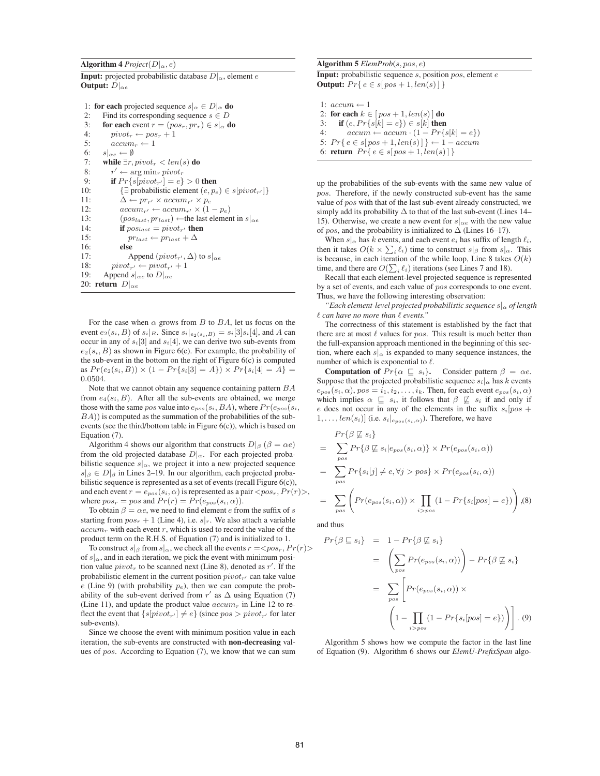#### Algorithm 4  $Project(D|_{\alpha}, e)$

**Input:** projected probabilistic database  $D|_{\alpha}$ , element e **Output:**  $D|_{\alpha e}$ 

```
1: for each projected sequence s|_{\alpha} \in D|_{\alpha} do
 2: Find its corresponding sequence s \in D<br>3: for each event r = (pos_r, pr_r) \in s|_{\alpha} d
 3: for each event r = (pos_r, pr_r) \in s|_{\alpha} do<br>4: pivot_r \leftarrow pos_r + 14: pivot_r \leftarrow pos_r + 1<br>5: account_r \leftarrow 1accum_r \leftarrow 16: s|_{\alpha e} \leftarrow \emptyset7: while \exists r, pivot_r < len(s) do 8: r' \leftarrow \text{arg min} \cdot pivot_rr' \leftarrow \arg\min_r pivot_r9: if Pr{s[pivot_{r'}] = e} > 0 then
10: \{\exists \text{ probabilistic element } (e, p_e) \in s[pivot_{r'}]\}11: \Delta \leftarrow pr_{r'} \times accum_{r'} \times p_e12: accum_{r'} \leftarrow accum_{r'} \times (1 - p_e)13: (pos_{last}, pr_{last}) \leftarrowthe last element in s|_{\alpha e}<br>14: if pos_{last} = pivot_{r'} then
14: if pos_{last} = pivot_{r'} then
15: pr_{last} \leftarrow pr_{last} + \Delta16: else
17: Append (pivot_{r'}, \Delta) to s|_{\alpha e}18: pivot_{r'} \leftarrow pivot_{r'} + 119: Append s|_{\alpha e} to D|_{\alpha e}20: return D|_{\alpha}e
```
For the case when  $\alpha$  grows from B to BA, let us focus on the event  $e_2(s_i, B)$  of  $s_i|_B$ . Since  $s_i|_{e_2(s_i, B)} = s_i[3]s_i[4]$ , and A can occur in any of  $s_i[3]$  and  $s_i[4]$ , we can derive two sub-events from  $e_2(s_i, B)$  as shown in Figure 6(c). For example, the probability of the sub-event in the bottom on the right of Figure 6(c) is computed as  $Pr(e_2(s_i, B)) \times (1 - Pr\{s_i[3] = A\}) \times Pr\{s_i[4] = A\}$ 0.0504.

Note that we cannot obtain any sequence containing pattern BA from  $e_4(s_i, B)$ . After all the sub-events are obtained, we merge those with the same pos value into  $e_{pos}(s_i,BA)$ , where  $Pr(e_{pos}(s_i,$  $B(A)$ ) is computed as the summation of the probabilities of the subevents (see the third/bottom table in Figure 6(c)), which is based on Equation (7).

Algorithm 4 shows our algorithm that constructs  $D|_{\beta}$  ( $\beta = \alpha e$ ) from the old projected database  $D|_{\alpha}$ . For each projected probabilistic sequence  $s|_{\alpha}$ , we project it into a new projected sequence  $s|_{\beta} \in D|_{\beta}$  in Lines 2–19. In our algorithm, each projected probabilistic sequence is represented as a set of events (recall Figure 6(c)), and each event  $r = e_{pos}(s_i, \alpha)$  is represented as a pair  $\langle pos_r, Pr(r) \rangle$ , where  $pos_r = pos$  and  $Pr(r) = Pr(e_{pos}(s_i, \alpha))$ .

To obtain  $\beta = \alpha e$ , we need to find element e from the suffix of s starting from  $pos_r + 1$  (Line 4), i.e.  $s|_r$ . We also attach a variable  $accum<sub>r</sub>$  with each event r, which is used to record the value of the product term on the R.H.S. of Equation (7) and is initialized to 1.

To construct  $s|_\beta$  from  $s|_\alpha$ , we check all the events  $r = \langle pos_r, Pr(r) \rangle$ of  $s|_{\alpha}$ , and in each iteration, we pick the event with minimum position value  $pivot_r$  to be scanned next (Line 8), denoted as r'. If the probabilistic element in the current position  $pivot_{r'}$  can take value  $e$  (Line 9) (with probability  $p_e$ ), then we can compute the probability of the sub-event derived from r' as  $\Delta$  using Equation (7) (Line 11), and update the product value  $accum<sub>r</sub>$  in Line 12 to reflect the event that  $\{s[pivot_{r'}] \neq e\}$  (since  $pos > pivot_{r'}$  for later sub-events).

Since we choose the event with minimum position value in each iteration, the sub-events are constructed with non-decreasing values of pos. According to Equation (7), we know that we can sum Algorithm 5 *ElemProb*(s, pos, e) **Input:** probabilistic sequence  $s$ , position  $pos$ , element  $e$ Output:  $Pr{ e \in s [pos + 1, len(s)] }$ 1:  $accum \leftarrow 1$ 2: for each  $k \in [\,pos+1, len(s)\,]$  do 3: **if**  $(e, Pr\{s[k] = e\}) \in s[k]$  then 4:  $accum \leftarrow accum \cdot (1 - Pr\{s[k] = e\})$ 

5:  $Pr\{e \in s | pos + 1, len(s) | \} \leftarrow 1 - accum$ 6: **return**  $Pr\{e \in s | pos + 1, len(s) | \}$ 

up the probabilities of the sub-events with the same new value of pos. Therefore, if the newly constructed sub-event has the same value of pos with that of the last sub-event already constructed, we simply add its probability  $\Delta$  to that of the last sub-event (Lines 14– 15). Otherwise, we create a new event for  $s|_{\alpha e}$  with the new value of pos, and the probability is initialized to  $\Delta$  (Lines 16–17).

When  $s|_{\alpha}$  has k events, and each event  $e_i$  has suffix of length  $\ell_i$ , When  $s|_{\alpha}$  has k events, and each event  $e_i$  has suffix of length  $\ell_i$ , then it takes  $O(k \times \sum_i \ell_i)$  time to construct  $s|_{\beta}$  from  $s|_{\alpha}$ . This is because, in each iteration of the while loop, Line 8 takes  $O(k)$ time, and there are  $O(\sum_i \ell_i)$  iterations (see Lines 7 and 18).

Recall that each element-level projected sequence is represented by a set of events, and each value of pos corresponds to one event. Thus, we have the following interesting observation:

*"Each element-level projected probabilistic sequence* s|<sup>α</sup> *of length can have no more than events."*

The correctness of this statement is established by the fact that there are at most  $\ell$  values for pos. This result is much better than the full-expansion approach mentioned in the beginning of this section, where each  $s|_{\alpha}$  is expanded to many sequence instances, the number of which is exponential to  $\ell$ .

**Computation of**  $Pr{\alpha \subseteq s_i}$ . Consider pattern  $\beta = \alpha e$ . Suppose that the projected probabilistic sequence  $s_i|_{\alpha}$  has k events  $e_{pos}(s_i, \alpha)$ ,  $pos = i_1, i_2, \ldots, i_k$ . Then, for each event  $e_{pos}(s_i, \alpha)$ which implies  $\alpha \subseteq s_i$ , it follows that  $\beta \not\sqsubseteq s_i$  if and only if e does not occur in any of the elements in the suffix  $s_i[pos +$  $1, \ldots, len(s_i)]$  (i.e.  $s_i|_{e_{pos}(s_i, \alpha)}$ ). Therefore, we have

$$
Pr\{\beta \not\subseteq s_i\}
$$
\n
$$
= \sum_{pos} Pr\{\beta \not\subseteq s_i | e_{pos}(s_i, \alpha)\} \times Pr(e_{pos}(s_i, \alpha))
$$
\n
$$
= \sum_{pos} Pr\{s_i[j] \neq e, \forall j > pos\} \times Pr(e_{pos}(s_i, \alpha))
$$
\n
$$
= \sum_{pos} \left( Pr(e_{pos}(s_i, \alpha)) \times \prod_{i > pos} (1 - Pr\{s_i [pos] = e\}) \right), (8)
$$

and thus

$$
Pr\{\beta \sqsubseteq s_i\} = 1 - Pr\{\beta \notsubseteq s_i\}
$$
  
= 
$$
\left(\sum_{pos} Pr(e_{pos}(s_i, \alpha))\right) - Pr\{\beta \notsubseteq s_i\}
$$
  
= 
$$
\sum_{pos} \left[Pr(e_{pos}(s_i, \alpha)) \times \left(1 - \prod_{i>pos} (1 - Pr\{s_i[pos] = e\})\right)\right].
$$
 (9)

Algorithm 5 shows how we compute the factor in the last line of Equation (9). Algorithm 6 shows our *ElemU-PrefixSpan* algo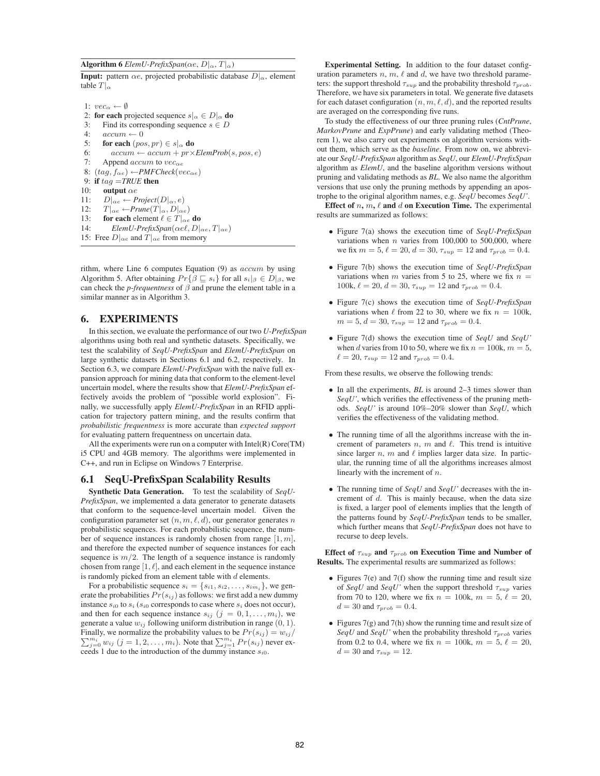**Algorithm 6** *ElemU-PrefixSpan*( $\alpha e$ ,  $D|_{\alpha}$ ,  $T|_{\alpha}$ )

**Input:** pattern  $\alpha e$ , projected probabilistic database  $D|\alpha$ , element table  $T|_{\alpha}$ 

1:  $vec_{\alpha} \leftarrow \emptyset$ 2: for each projected sequence  $s|_{\alpha} \in D|_{\alpha}$  do<br>3: Find its corresponding sequence  $s \in D$ Find its corresponding sequence  $s \in D$ 4:  $accum \leftarrow 0$ 5: for each  $(pos, pr) \in s|_{\alpha}$  do 6:  $\operatorname{accum} \leftarrow \operatorname{accum} + \operatorname{pr} \times \operatorname{Element}(\mathbf{s}, \operatorname{pos}, \mathbf{e})$ 7: Append  $accum$  to  $vec_{\alpha e}$ 8:  $(tag, f_{\alpha e}) \leftarrow PMFCheck(vec_{\alpha e})$ 9: if tag =*TRUE* then 10: **output**  $\alpha e$ 11:  $D|_{\alpha e} \leftarrow Project(D|_{\alpha}, e)$ 12:  $T|_{\alpha e} \leftarrow Prune(T|_{\alpha}, D|_{\alpha e})$ 13: **for each** element  $\ell \in T|_{\alpha e}$  **do**<br>14: *ElemU-PrefixSpan*( $\alpha e\ell$ , *D*)  $ElemU-PrefixSpan(\alpha e\ell, D|_{\alpha e}, T|_{\alpha e})$ 15: Free  $D|_{\alpha e}$  and  $T|_{\alpha e}$  from memory

rithm, where Line 6 computes Equation (9) as accum by using Algorithm 5. After obtaining  $Pr{\{\beta \sqsubseteq s_i\}}$  for all  $s_i|_{\beta} \in D|_{\beta}$ , we can check the *p-frequentness* of  $\beta$  and prune the element table in a similar manner as in Algorithm 3.

# 6. EXPERIMENTS

In this section, we evaluate the performance of our two *U-PrefixSpan* algorithms using both real and synthetic datasets. Specifically, we test the scalability of *SeqU-PrefixSpan* and *ElemU-PrefixSpan* on large synthetic datasets in Sections 6.1 and 6.2, respectively. In Section 6.3, we compare *ElemU-PrefixSpan* with the naïve full expansion approach for mining data that conform to the element-level uncertain model, where the results show that *ElemU-PrefixSpan* effectively avoids the problem of "possible world explosion". Finally, we successfully apply *ElemU-PrefixSpan* in an RFID application for trajectory pattern mining, and the results confirm that *probabilistic frequentness* is more accurate than *expected support* for evaluating pattern frequentness on uncertain data.

All the experiments were run on a computer with Intel(R) Core(TM) i5 CPU and 4GB memory. The algorithms were implemented in C++, and run in Eclipse on Windows 7 Enterprise.

# 6.1 SeqU-PrefixSpan Scalability Results

Synthetic Data Generation. To test the scalability of *SeqU-PrefixSpan*, we implemented a data generator to generate datasets that conform to the sequence-level uncertain model. Given the configuration parameter set  $(n, m, \ell, d)$ , our generator generates n probabilistic sequences. For each probabilistic sequence, the number of sequence instances is randomly chosen from range  $[1, m]$ , and therefore the expected number of sequence instances for each sequence is  $m/2$ . The length of a sequence instance is randomly chosen from range  $[1, \ell]$ , and each element in the sequence instance is randomly picked from an element table with  $d$  elements.

For a probabilistic sequence  $s_i = \{s_{i1}, s_{i2}, \ldots, s_{im_i}\}$ , we generate the probabilities  $Pr(s_{ij})$  as follows: we first add a new dummy instance  $s_{i0}$  to  $s_i$  ( $s_{i0}$  corresponds to case where  $s_i$  does not occur), and then for each sequence instance  $s_{ij}$   $(j = 0, 1, \ldots, m_i)$ , we generate a value  $w_{ij}$  following uniform distribution in range  $(0, 1)$ . Finally, we normalize the probability values to be  $Pr(s_{ij}) = w_{ij}/\sum_{i=1}^{m_i} w_{ij}$  ( $i = 1, 2, ..., m_i$ ). Note that  $\sum_{i=1}^{m_i} p_{i}(s_{ij})$  never exally, we normalize the probability values to be  $Pr(s_{ij}) = w_{ij}/\frac{m_i}{j=0} w_{ij}$  ( $j = 1, 2, ..., m_i$ ). Note that  $\sum_{j=1}^{m_i} Pr(s_{ij})$  never exceeds 1 due to the introduction of the dummy instance  $s_{i0}$ .

Experimental Setting. In addition to the four dataset configuration parameters  $n, m, \ell$  and d, we have two threshold parameters: the support threshold  $\tau_{sup}$  and the probability threshold  $\tau_{prob}$ . Therefore, we have six parameters in total. We generate five datasets for each dataset configuration  $(n, m, \ell, d)$ , and the reported results are averaged on the corresponding five runs.

To study the effectiveness of our three pruning rules (*CntPrune*, *MarkovPrune* and *ExpPrune*) and early validating method (Theorem 1), we also carry out experiments on algorithm versions without them, which serve as the *baseline*. From now on, we abbreviate our *SeqU-PrefixSpan* algorithm as *SeqU*, our *ElemU-PrefixSpan* algorithm as *ElemU*, and the baseline algorithm versions without pruning and validating methods as *BL*. We also name the algorithm versions that use only the pruning methods by appending an apostrophe to the original algorithm names, e.g. *SeqU* becomes *SeqU'*.

Effect of  $n, m, \ell$  and  $d$  on Execution Time. The experimental results are summarized as follows:

- Figure 7(a) shows the execution time of *SeqU-PrefixSpan* variations when  $n$  varies from 100,000 to 500,000, where we fix  $m = 5$ ,  $\ell = 20$ ,  $d = 30$ ,  $\tau_{sup} = 12$  and  $\tau_{prob} = 0.4$ .
- Figure 7(b) shows the execution time of *SeqU-PrefixSpan* variations when m varies from 5 to 25, where we fix  $n =$ 100k,  $\ell = 20$ ,  $d = 30$ ,  $\tau_{sup} = 12$  and  $\tau_{prob} = 0.4$ .
- Figure 7(c) shows the execution time of *SeqU-PrefixSpan* variations when  $\ell$  from 22 to 30, where we fix  $n = 100k$ ,  $m = 5, d = 30, \tau_{sup} = 12$  and  $\tau_{prob} = 0.4$ .
- Figure 7(d) shows the execution time of *SeqU* and *SeqU'* when d varies from 10 to 50, where we fix  $n = 100k$ ,  $m = 5$ ,  $\ell = 20$ ,  $\tau_{sup} = 12$  and  $\tau_{prob} = 0.4$ .

From these results, we observe the following trends:

- In all the experiments, *BL* is around 2–3 times slower than *SeqU'*, which verifies the effectiveness of the pruning methods. *SeqU'* is around 10%–20% slower than *SeqU*, which verifies the effectiveness of the validating method.
- The running time of all the algorithms increase with the increment of parameters  $n$ ,  $m$  and  $\ell$ . This trend is intuitive since larger n, m and  $\ell$  implies larger data size. In particular, the running time of all the algorithms increases almost linearly with the increment of n.
- The running time of *SeqU* and *SeqU'* decreases with the increment of d. This is mainly because, when the data size is fixed, a larger pool of elements implies that the length of the patterns found by *SeqU-PrefixSpan* tends to be smaller, which further means that *SeqU-PrefixSpan* does not have to recurse to deep levels.

Effect of  $\tau_{sup}$  and  $\tau_{prob}$  on Execution Time and Number of Results. The experimental results are summarized as follows:

- Figures  $7(e)$  and  $7(f)$  show the running time and result size of  $SeqU$  and  $SeqU'$  when the support threshold  $\tau_{sup}$  varies from 70 to 120, where we fix  $n = 100k$ ,  $m = 5$ ,  $\ell = 20$ ,  $d = 30$  and  $\tau_{prob} = 0.4$ .
- Figures  $7(g)$  and  $7(h)$  show the running time and result size of *SeqU* and *SeqU'* when the probability threshold  $\tau_{prob}$  varies from 0.2 to 0.4, where we fix  $n = 100k$ ,  $m = 5$ ,  $\ell = 20$ ,  $d = 30$  and  $\tau_{sup} = 12$ .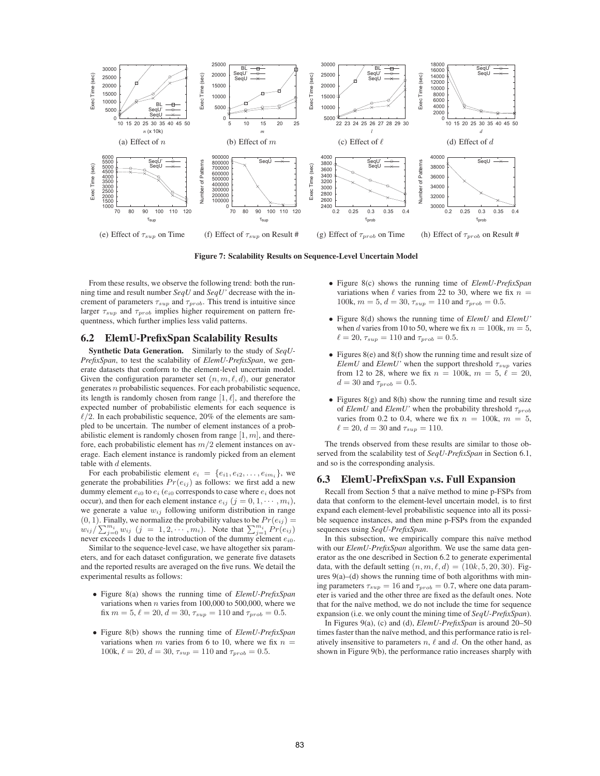

Figure 7: Scalability Results on Sequence-Level Uncertain Model

From these results, we observe the following trend: both the running time and result number *SeqU* and *SeqU'* decrease with the increment of parameters  $\tau_{sup}$  and  $\tau_{prob}$ . This trend is intuitive since larger  $\tau_{sup}$  and  $\tau_{prob}$  implies higher requirement on pattern frequentness, which further implies less valid patterns.

## 6.2 ElemU-PrefixSpan Scalability Results

Synthetic Data Generation. Similarly to the study of *SeqU-PrefixSpan*, to test the scalability of *ElemU-PrefixSpan*, we generate datasets that conform to the element-level uncertain model. Given the configuration parameter set  $(n, m, \ell, d)$ , our generator generates  $n$  probabilistic sequences. For each probabilistic sequence, its length is randomly chosen from range  $[1, \ell]$ , and therefore the expected number of probabilistic elements for each sequence is  $\ell/2$ . In each probabilistic sequence, 20% of the elements are sampled to be uncertain. The number of element instances of a probabilistic element is randomly chosen from range  $[1, m]$ , and therefore, each probabilistic element has  $m/2$  element instances on average. Each element instance is randomly picked from an element table with  $d$  elements.

For each probabilistic element  $e_i = \{e_{i1}, e_{i2}, \ldots, e_{im_i}\}\$ , we generate the probabilities  $Pr(e_{ij})$  as follows: we first add a new dummy element  $e_{i0}$  to  $e_i$  ( $e_{i0}$  corresponds to case where  $e_i$  does not occur), and then for each element instance  $e_{ij}$   $(j = 0, 1, \dots, m_i)$ , we generate a value  $w_{ij}$  following uniform distribution in range  $(0, 1)$ . Finally, we normalize the probability values to be  $Pr(e_{ij}) =$ (0, 1). Finally, we normalize the probability values to be  $Pr(e_{ij}) = w_{ij}/\sum_{j=0}^{m_i} w_{ij}$  (j = 1, 2,  $\cdots$ ,  $m_i$ ). Note that  $\sum_{j=1}^{m_i} Pr(e_{ij})$ never exceeds 1 due to the introduction of the dummy element  $e_{i0}$ .

Similar to the sequence-level case, we have altogether six parameters, and for each dataset configuration, we generate five datasets and the reported results are averaged on the five runs. We detail the experimental results as follows:

- Figure 8(a) shows the running time of *ElemU-PrefixSpan* variations when  $n$  varies from 100,000 to 500,000, where we fix  $m = 5$ ,  $\ell = 20$ ,  $d = 30$ ,  $\tau_{sup} = 110$  and  $\tau_{prob} = 0.5$ .
- Figure 8(b) shows the running time of *ElemU-PrefixSpan* variations when m varies from 6 to 10, where we fix  $n =$ 100k,  $\ell = 20$ ,  $d = 30$ ,  $\tau_{sup} = 110$  and  $\tau_{prob} = 0.5$ .
- Figure 8(c) shows the running time of *ElemU-PrefixSpan* variations when  $\ell$  varies from 22 to 30, where we fix  $n =$ 100k,  $m = 5$ ,  $d = 30$ ,  $\tau_{sup} = 110$  and  $\tau_{prob} = 0.5$ .
- Figure 8(d) shows the running time of *ElemU* and *ElemU'* when d varies from 10 to 50, where we fix  $n = 100k$ ,  $m = 5$ ,  $\ell = 20$ ,  $\tau_{sup} = 110$  and  $\tau_{prob} = 0.5$ .
- Figures 8(e) and 8(f) show the running time and result size of *ElemU* and *ElemU'* when the support threshold  $\tau_{sup}$  varies from 12 to 28, where we fix  $n = 100$ k,  $m = 5$ ,  $\ell = 20$ ,  $d = 30$  and  $\tau_{prob} = 0.5$ .
- Figures 8(g) and 8(h) show the running time and result size of *ElemU* and *ElemU'* when the probability threshold  $\tau_{prob}$ varies from 0.2 to 0.4, where we fix  $n = 100k$ ,  $m = 5$ ,  $\ell = 20, d = 30$  and  $\tau_{sup} = 110$ .

The trends observed from these results are similar to those observed from the scalability test of *SeqU-PrefixSpan* in Section 6.1, and so is the corresponding analysis.

# 6.3 ElemU-PrefixSpan v.s. Full Expansion

Recall from Section 5 that a naïve method to mine p-FSPs from data that conform to the element-level uncertain model, is to first expand each element-level probabilistic sequence into all its possible sequence instances, and then mine p-FSPs from the expanded sequences using *SeqU-PrefixSpan*.

In this subsection, we empirically compare this naïve method with our *ElemU-PrefixSpan* algorithm. We use the same data generator as the one described in Section 6.2 to generate experimental data, with the default setting  $(n, m, \ell, d) = (10k, 5, 20, 30)$ . Figures  $9(a)$ –(d) shows the running time of both algorithms with mining parameters  $\tau_{sup} = 16$  and  $\tau_{prob} = 0.7$ , where one data parameter is varied and the other three are fixed as the default ones. Note that for the naïve method, we do not include the time for sequence expansion (i.e. we only count the mining time of *SeqU-PrefixSpan*).

In Figures 9(a), (c) and (d), *ElemU-PrefixSpan* is around 20–50 times faster than the naïve method, and this performance ratio is relatively insensitive to parameters  $n, \ell$  and d. On the other hand, as shown in Figure 9(b), the performance ratio increases sharply with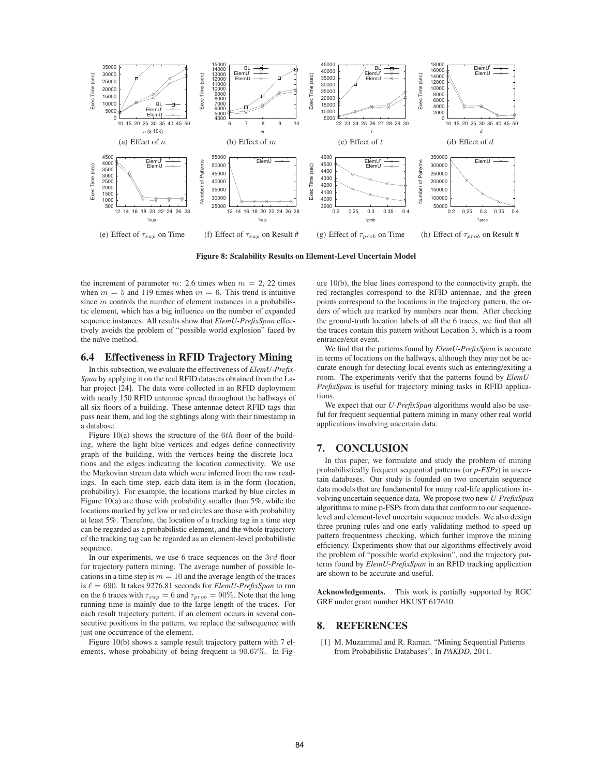

Figure 8: Scalability Results on Element-Level Uncertain Model

the increment of parameter m: 2.6 times when  $m = 2$ , 22 times when  $m = 5$  and 119 times when  $m = 6$ . This trend is intuitive since  $m$  controls the number of element instances in a probabilistic element, which has a big influence on the number of expanded sequence instances. All results show that *ElemU-PrefixSpan* effectively avoids the problem of "possible world explosion" faced by the naïve method.

# 6.4 Effectiveness in RFID Trajectory Mining

In this subsection, we evaluate the effectiveness of *ElemU-Prefix-Span* by applying it on the real RFID datasets obtained from the Lahar project [24]. The data were collected in an RFID deployment with nearly 150 RFID antennae spread throughout the hallways of all six floors of a building. These antennae detect RFID tags that pass near them, and log the sightings along with their timestamp in a database.

Figure 10(a) shows the structure of the 6th floor of the building, where the light blue vertices and edges define connectivity graph of the building, with the vertices being the discrete locations and the edges indicating the location connectivity. We use the Markovian stream data which were inferred from the raw readings. In each time step, each data item is in the form (location, probability). For example, the locations marked by blue circles in Figure 10(a) are those with probability smaller than 5%, while the locations marked by yellow or red circles are those with probability at least 5%. Therefore, the location of a tracking tag in a time step can be regarded as a probabilistic element, and the whole trajectory of the tracking tag can be regarded as an element-level probabilistic sequence.

In our experiments, we use 6 trace sequences on the 3rd floor for trajectory pattern mining. The average number of possible locations in a time step is  $m = 10$  and the average length of the traces is  $\ell = 690$ . It takes 9276.81 seconds for *ElemU-PrefixSpan* to run on the 6 traces with  $\tau_{sup} = 6$  and  $\tau_{prob} = 90\%$ . Note that the long running time is mainly due to the large length of the traces. For each result trajectory pattern, if an element occurs in several consecutive positions in the pattern, we replace the subsequence with just one occurrence of the element.

Figure 10(b) shows a sample result trajectory pattern with 7 elements, whose probability of being frequent is 90.67%. In Figure 10(b), the blue lines correspond to the connectivity graph, the red rectangles correspond to the RFID antennae, and the green points correspond to the locations in the trajectory pattern, the orders of which are marked by numbers near them. After checking the ground-truth location labels of all the 6 traces, we find that all the traces contain this pattern without Location 3, which is a room entrance/exit event.

We find that the patterns found by *ElemU-PrefixSpan* is accurate in terms of locations on the hallways, although they may not be accurate enough for detecting local events such as entering/exiting a room. The experiments verify that the patterns found by *ElemU-PrefixSpan* is useful for trajectory mining tasks in RFID applications.

We expect that our *U-PrefixSpan* algorithms would also be useful for frequent sequential pattern mining in many other real world applications involving uncertain data.

## 7. CONCLUSION

In this paper, we formulate and study the problem of mining probabilistically frequent sequential patterns (or *p-FSPs*) in uncertain databases. Our study is founded on two uncertain sequence data models that are fundamental for many real-life applications involving uncertain sequence data. We propose two new *U-PrefixSpan* algorithms to mine p-FSPs from data that conform to our sequencelevel and element-level uncertain sequence models. We also design three pruning rules and one early validating method to speed up pattern frequentness checking, which further improve the mining efficiency. Experiments show that our algorithms effectively avoid the problem of "possible world explosion", and the trajectory patterns found by *ElemU-PrefixSpan* in an RFID tracking application are shown to be accurate and useful.

Acknowledgements. This work is partially supported by RGC GRF under grant number HKUST 617610.

# 8. REFERENCES

[1] M. Muzammal and R. Raman. "Mining Sequential Patterns from Probabilistic Databases". In *PAKDD*, 2011.